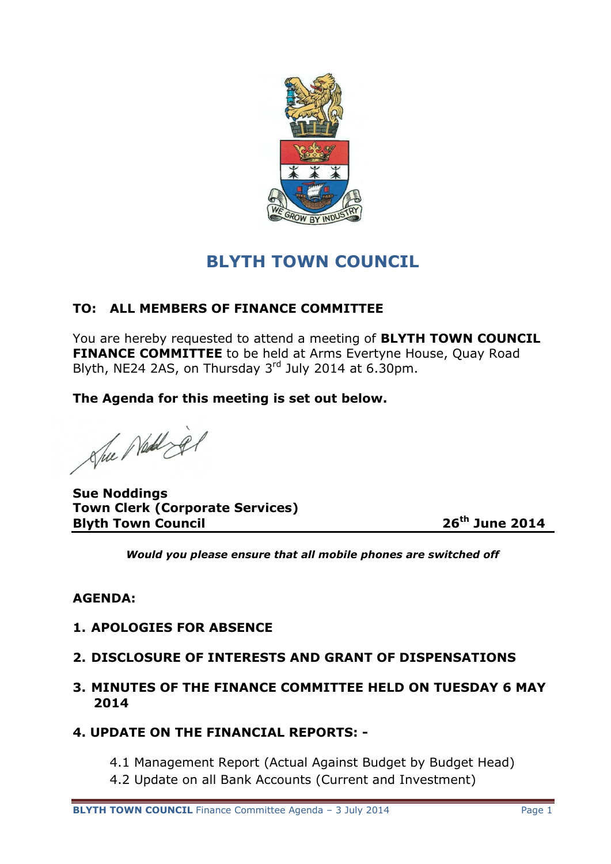

# **BLYTH TOWN COUNCIL**

# **TO: ALL MEMBERS OF FINANCE COMMITTEE**

You are hereby requested to attend a meeting of **BLYTH TOWN COUNCIL FINANCE COMMITTEE** to be held at Arms Evertyne House, Quay Road Blyth, NE24 2AS, on Thursday  $3<sup>rd</sup>$  July 2014 at 6.30pm.

**The Agenda for this meeting is set out below.**

She Ned jer

**Sue Noddings Town Clerk (Corporate Services) Blyth Town Council 26th June 2014**

*Would you please ensure that all mobile phones are switched off*

# **AGENDA:**

### **1. APOLOGIES FOR ABSENCE**

# **2. DISCLOSURE OF INTERESTS AND GRANT OF DISPENSATIONS**

- **3. MINUTES OF THE FINANCE COMMITTEE HELD ON TUESDAY 6 MAY 2014**
- **4. UPDATE ON THE FINANCIAL REPORTS: -**
	- 4.1 Management Report (Actual Against Budget by Budget Head)
	- 4.2 Update on all Bank Accounts (Current and Investment)